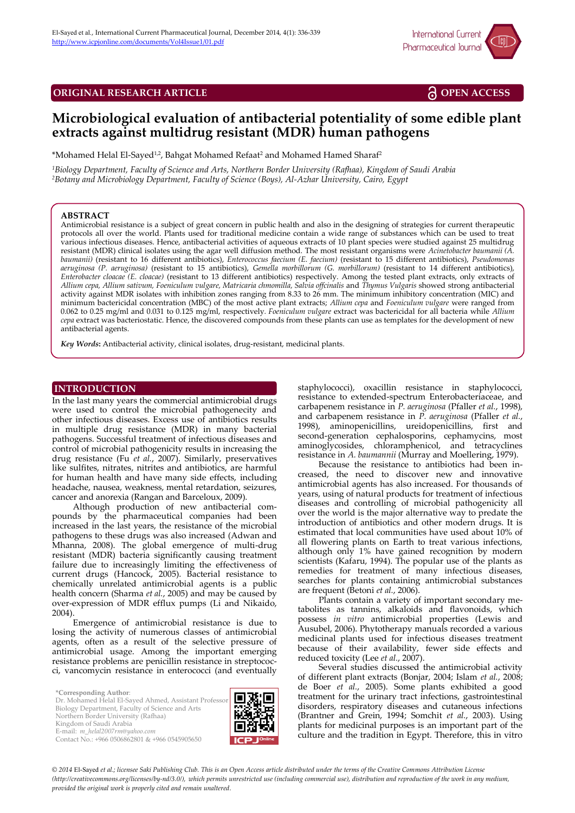

**ORIGINAL RESEARCH ARTICLE <b>OPEN ACCESS** 

# **Microbiological evaluation of antibacterial potentiality of some edible plant extracts against multidrug resistant (MDR) human pathogens**

\*Mohamed Helal El-Sayed<sup>1,2</sup>, Bahgat Mohamed Refaat<sup>2</sup> and Mohamed Hamed Sharaf<sup>2</sup>

*<sup>1</sup>Biology Department, Faculty of Science and Arts, Northern Border University (Rafhaa), Kingdom of Saudi Arabia <sup>2</sup>Botany and Microbiology Department, Faculty of Science (Boys), Al-Azhar University, Cairo, Egypt*

### **ABSTRACT**

Antimicrobial resistance is a subject of great concern in public health and also in the designing of strategies for current therapeutic protocols all over the world. Plants used for traditional medicine contain a wide range of substances which can be used to treat various infectious diseases. Hence, antibacterial activities of aqueous extracts of 10 plant species were studied against 25 multidrug resistant (MDR) clinical isolates using the agar well diffusion method. The most resistant organisms were *Acinetobacter baumanii (A. baumanii)* (resistant to 16 different antibiotics), *Enterococcus faecium (E. faecium)* (resistant to 15 different antibiotics), *[Pseudomonas](http://www.google.com.eg/url?sa=t&rct=j&q=&esrc=s&frm=1&source=web&cd=1&cad=rja&uact=8&sqi=2&ved=0CBoQFjAA&url=http%3A%2F%2Fen.wikipedia.org%2Fwiki%2FPseudomonas&ei=zLjYU5OjKYPB7AbkjoGgDg&usg=AFQjCNHGWOVUp-s_HBK0tYfsgdklmC9YPg&bvm=bv.71778758,d.ZGU) aeruginosa (P. aeruginosa)* (resistant to 15 antibiotics), *Gemella morbillorum (G. morbillorum)* (resistant to 14 different antibiotics), *Enterobacter cloacae (E. cloacae)* (resistant to 13 different antibiotics) respectively. Among the tested plant extracts, only extracts of *Allium cepa, Allium sativum, Foeniculum vulgare, Matricaria chmomilla, Salvia offcinalis* and *Thymus Vulgaris* showed strong antibacterial activity against MDR isolates with inhibition zones ranging from 8.33 to 26 mm. The minimum inhibitory concentration (MIC) and minimum bactericidal concentration (MBC) of the most active plant extracts; *Allium cepa* and *Foeniculum vulgare* were ranged from 0.062 to 0.25 mg/ml and 0.031 to 0.125 mg/ml, respectively*. Foeniculum vulgare* extract was bactericidal for all bacteria while *Allium cepa* extract was bacteriostatic. Hence, the discovered compounds from these plants can use as templates for the development of new antibacterial agents.

*Key Words***:** Antibacterial activity, clinical isolates, drug-resistant, medicinal plants.

## **INTRODUCTION INTRODUCTION**

In the last many years the commercial antimicrobial drugs were used to control the microbial pathogenecity and other infectious diseases. Excess use of antibiotics results in multiple drug resistance (MDR) in many bacterial pathogens. Successful treatment of infectious diseases and control of microbial pathogenicity results in increasing the drug resistance (Fu et al., 2007). Similarly, preservatives like sulfites, nitrates, nitrites and antibiotics, are harmful for human health and have many side effects, including headache, nausea, weakness, mental retardation, seizures, cancer and anorexia (Rangan and Barceloux, 2009).

Although production of new antibacterial compounds by the pharmaceutical companies had been increased in the last years, the resistance of the microbial pathogens to these drugs was also increased (Adwan and Mhanna, 2008). The global emergence of multi-drug resistant (MDR) bacteria significantly causing treatment failure due to increasingly limiting the effectiveness of current drugs (Hancock, 2005). Bacterial resistance to chemically unrelated antimicrobial agents is a public health concern (Sharma *et al.*, 2005) and may be caused by over-expression of MDR efflux pumps (Li and Nikaido, 2004)

Emergence of antimicrobial resistance is due to losing the activity of numerous classes of antimicrobial agents, often as a result of the selective pressure of antimicrobial usage. Among the important emerging resistance problems are penicillin resistance in streptococci, vancomycin resistance in enterococci (and eventually

**\*Corresponding Author**: Dr. Mohamed Helal El-Sayed Ahmed, Assistant Professor Biology Department, Faculty of Science and Arts Northern Border University (Rafhaa) Kingdom of Saudi Arabia E-mail: *m\_helal2007rm@yahoo.com* Contact No.: +966 0506862801 & +966 0545905650



staphylococci), oxacillin resistance in staphylococci, resistance to extended-spectrum Enterobacteriaceae, and carbapenem resistance in *P. aeruginosa* (Pfaller *et al.*, 1998), and carbapenem resistance in *P. aeruginosa* (Pfaller *et al.*, 1998), aminopenicillins, ureidopenicillins, first and second-generation cephalosporins, cephamycins, most aminoglycosides, chloramphenicol, and tetracyclines resistance in *A. baumannii* (Murray and Moellering, 1979).

Because the resistance to antibiotics had been increased, the need to discover new and innovative antimicrobial agents has also increased. For thousands of years, using of natural products for treatment of infectious diseases and controlling of microbial pathogenicity all over the world is the major alternative way to predate the introduction of antibiotics and other modern drugs. It is estimated that local communities have used about 10% of all flowering plants on Earth to treat various infections, although only 1% have gained recognition by modern scientists (Kafaru, 1994). The popular use of the plants as remedies for treatment of many infectious diseases, searches for plants containing antimicrobial substances are frequent (Betoni *et al.*, 2006).

Plants contain a variety of important secondary metabolites as tannins, alkaloids and flavonoids, which possess *in vitro* antimicrobial properties (Lewis and Ausubel, 2006). Phytotherapy manuals recorded a various medicinal plants used for infectious diseases treatment because of their availability, fewer side effects and reduced toxicity (Lee *et al.*, 2007).

Several studies discussed the antimicrobial activity of different plant extracts (Bonjar, 2004; Islam *et al.*, 2008; de Boer *et al.*, 2005). Some plants exhibited a good treatment for the urinary tract infections, gastrointestinal disorders, respiratory diseases and cutaneous infections (Brantner and Grein, 1994; Somchit *et al.*, 2003). Using plants for medicinal purposes is an important part of the culture and the tradition in Egypt. Therefore, this in vitro

*© 2014* El-Sayed *et al.; licensee Saki Publishing Club. This is an Open Access article distributed under the terms of the Creative Commons Attribution License (http://creativecommons.org/licenses/by-nd/3.0/), which permits unrestricted use (including commercial use), distribution and reproduction of the work in any medium, provided the original work is properly cited and remain unaltered.*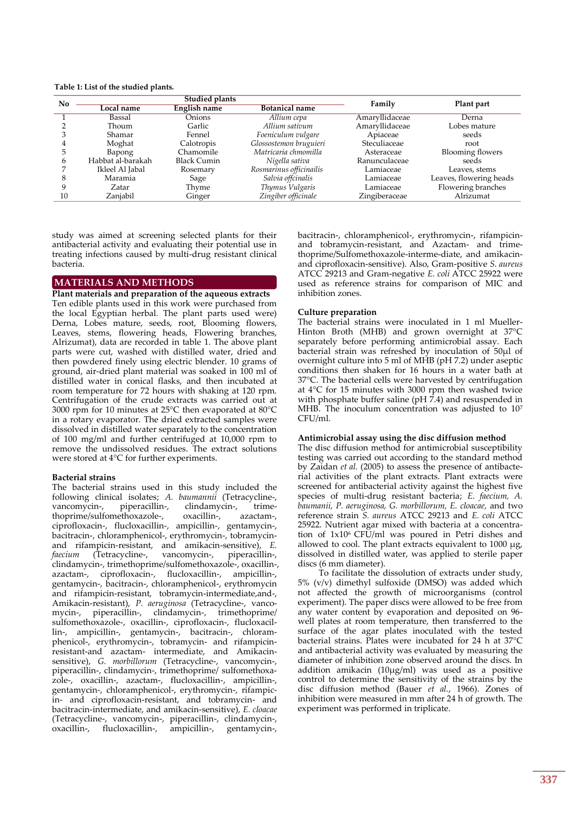**Table 1: List of the studied plants.**

| No | <b>Studied plants</b> |                     |                         | Family         | Plant part              |  |
|----|-----------------------|---------------------|-------------------------|----------------|-------------------------|--|
|    | Local name            | <b>English name</b> | <b>Botanical name</b>   |                |                         |  |
|    | Bassal                | <b>Onions</b>       | Allium cepa             | Amaryllidaceae | Derna                   |  |
|    | Thoum                 | Garlic              | Allium sativum          | Amaryllidaceae | Lobes mature            |  |
|    | Shamar                | Fennel              | Foeniculum vulgare      | Apiaceae       | seeds                   |  |
|    | Moghat                | Calotropis          | Glossostemon bruguieri  | Steculiaceae   | root                    |  |
|    | Bapong                | Chamomile           | Matricaria chmomilla    | Asteraceae     | <b>Blooming flowers</b> |  |
|    | Habbat al-barakah     | <b>Black Cumin</b>  | Nigella sativa          | Ranunculaceae  | seeds                   |  |
|    | Ikleel Al Jabal       | Rosemary            | Rosmarinus officinailis | Lamiaceae      | Leaves, stems           |  |
|    | Maramia               | Sage                | Salvia offcinalis       | Lamiaceae      | Leaves, flowering heads |  |
|    | Zatar                 | Thyme               | Thymus Vulgaris         | Lamiaceae      | Flowering branches      |  |
| 10 | Zanjabil              | Ginger              | Zingiber officinale     | Zingiberaceae  | Alrizumat               |  |

study was aimed at screening selected plants for their antibacterial activity and evaluating their potential use in treating infections caused by multi-drug resistant clinical bacteria.

## **MATERIALS AND METHODS MATERIALS AND METHODS**

**Plant materials and preparation of the aqueous extracts** Ten edible plants used in this work were purchased from the local Egyptian herbal. The plant parts used were) Derna, Lobes mature, seeds, root, Blooming flowers, Leaves, stems, flowering heads, Flowering branches, Alrizumat), data are recorded in table 1. The above plant parts were cut, washed with distilled water, dried and then powdered finely using electric blender. 10 grams of ground, air-dried plant material was soaked in 100 ml of distilled water in conical flasks, and then incubated at room temperature for 72 hours with shaking at 120 rpm. Centrifugation of the crude extracts was carried out at 3000 rpm for 10 minutes at 25°C then evaporated at 80°C in a rotary evaporator. The dried extracted samples were dissolved in distilled water separately to the concentration of 100 mg/ml and further centrifuged at 10,000 rpm to remove the undissolved residues. The extract solutions were stored at 4°C for further experiments.

### **Bacterial strains**

The bacterial strains used in this study included the following clinical isolates; *A. baumannii* (Tetracycline-, vancomycin-, piperacillin-, clindamycin-, trimevancomycin-, piperacillin-, clindamycin-, trime-<br>thoprime/sulfomethoxazole-, oxacillin-, azactam-, thoprime/sulfomethoxazole-, ciprofloxacin-, flucloxacillin-, ampicillin-, gentamycin-, bacitracin-, chloramphenicol-, erythromycin-, tobramycinand rifampicin-resistant, and amikacin-sensitive), *E. (Tetracycline-,* clindamycin-, trimethoprime/sulfomethoxazole-, oxacillin-, azactam-, ciprofloxacin-, flucloxacillin-, ampicillin-, gentamycin-, bacitracin-, chloramphenicol-, erythromycin and rifampicin-resistant, tobramycin-intermediate,and-, Amikacin-resistant), *P. aeruginosa* (Tetracycline-, vanco-<br>mycin-, piperacillin-, clindamycin-, trimethoprime/ clindamycin-, trimethoprime/ sulfomethoxazole-, oxacillin-, ciprofloxacin-, flucloxacillin-, ampicillin-, gentamycin-, bacitracin-, chloramphenicol-, erythromycin-, tobramycin- and rifampicinresistant-and azactam- intermediate, and Amikacinsensitive), *G. morbillorum* (Tetracycline-, vancomycin-, piperacillin-, clindamycin-, trimethoprime/ sulfomethoxazole-, oxacillin-, azactam-, flucloxacillin-, ampicillin-, gentamycin-, chloramphenicol-, erythromycin-, rifampicin- and ciprofloxacin-resistant, and tobramycin- and bacitracin-intermediate, and amikacin-sensitive), *E. cloacae* (Tetracycline-, vancomycin-, piperacillin-, clindamycin-, oxacillin-, flucloxacillin-, ampicillin-, gentamycin-,

bacitracin-, chloramphenicol-, erythromycin-, rifampicinand tobramycin-resistant, and Azactam- and trimethoprime/Sulfomethoxazole-interme-diate, and amikacinand ciprofloxacin-sensitive). Also, Gram-positive *S. aureus*  ATCC 29213 and Gram-negative *E. coli* ATCC 25922 were used as reference strains for comparison of MIC and inhibition zones.

## **Culture preparation**

The bacterial strains were inoculated in 1 ml Mueller-Hinton Broth (MHB) and grown overnight at 37°C separately before performing antimicrobial assay. Each bacterial strain was refreshed by inoculation of 50μl of overnight culture into 5 ml of MHB (pH 7.2) under aseptic conditions then shaken for 16 hours in a water bath at 37°C. The bacterial cells were harvested by centrifugation at 4°C for 15 minutes with 3000 rpm then washed twice with phosphate buffer saline ( $pH\overline{7.4}$ ) and resuspended in MHB. The inoculum concentration was adjusted to 10<sup>7</sup> CFU/ml.

## **Antimicrobial assay using the disc diffusion method**

The disc diffusion method for antimicrobial susceptibility testing was carried out according to the standard method by Zaidan *et al.* (2005) to assess the presence of antibacterial activities of the plant extracts. Plant extracts were screened for antibacterial activity against the highest five species of multi-drug resistant bacteria; *E. faecium, A. baumanii, P. aeruginosa, G. morbillorum, E. cloacae,* and two reference strain *S. aureus* ATCC 29213 and *E. coli* ATCC 25922. Nutrient agar mixed with bacteria at a concentration of  $1x10^6$  CFU/ml was poured in Petri dishes and allowed to cool. The plant extracts equivalent to  $1000 \mu g$ , dissolved in distilled water, was applied to sterile paper discs (6 mm diameter).

To facilitate the dissolution of extracts under study, 5% (v/v) dimethyl sulfoxide (DMSO) was added which not affected the growth of microorganisms (control experiment). The paper discs were allowed to be free from any water content by evaporation and deposited on 96 well plates at room temperature, then transferred to the surface of the agar plates inoculated with the tested bacterial strains. Plates were incubated for 24 h at 37°C and antibacterial activity was evaluated by measuring the diameter of inhibition zone observed around the discs. In addition amikacin (10µg/ml) was used as a positive control to determine the sensitivity of the strains by the disc diffusion method (Bauer *et al.*, 1966). Zones of inhibition were measured in mm after 24 h of growth. The experiment was performed in triplicate.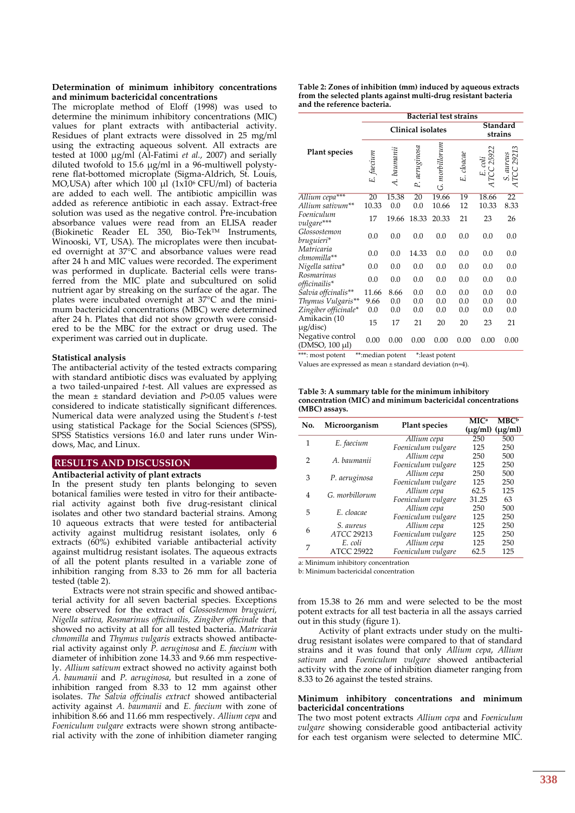#### **Determination of minimum inhibitory concentrations and minimum bactericidal concentrations**

The microplate method of Eloff (1998) was used to determine the minimum inhibitory concentrations (MIC) values for plant extracts with antibacterial activity. Residues of plant extracts were dissolved in 25 mg/ml using the extracting aqueous solvent. All extracts are tested at 1000 µg/ml (Al-Fatimi *et al.*, 2007) and serially diluted twofold to 15.6 µg/ml in a 96-multiwell polystyrene flat-bottomed microplate (Sigma-Aldrich, St. Louis, MO,USA) after which  $100 \mu l$  (1x10<sup>6</sup> CFU/ml) of bacteria are added to each well. The antibiotic ampicillin was added as reference antibiotic in each assay. Extract-free solution was used as the negative control. Pre-incubation absorbance values were read from an ELISA reader (Biokinetic Reader EL 350, Bio-Tek<sup>TM</sup> Instruments, Winooski, VT, USA). The microplates were then incubated overnight at 37°C and absorbance values were read after 24 h and MIC values were recorded. The experiment was performed in duplicate. Bacterial cells were transferred from the MIC plate and subcultured on solid nutrient agar by streaking on the surface of the agar. The plates were incubated overnight at 37°C and the minimum bactericidal concentrations (MBC) were determined after 24 h. Plates that did not show growth were considered to be the MBC for the extract or drug used. The experiment was carried out in duplicate.

#### **Statistical analysis**

The antibacterial activity of the tested extracts comparing with standard antibiotic discs was evaluated by applying a two tailed-unpaired *t-*test. All values are expressed as the mean ± standard deviation and *P*>0.05 values were considered to indicate statistically significant differences. Numerical data were analyzed using the Student's *t-*test using statistical Package for the Social Sciences (SPSS), SPSS Statistics versions 16.0 and later runs under Windows, Mac, and Linux.

## **RESULTS AND DISCUSSION RESULTS AND DISCUSSION**

#### **Antibacterial activity of plant extracts**

In the present study ten plants belonging to seven botanical families were tested in vitro for their antibacterial activity against both five drug-resistant clinical isolates and other two standard bacterial strains. Among 10 aqueous extracts that were tested for antibacterial activity against multidrug resistant isolates, only 6 extracts (60%) exhibited variable antibacterial activity against multidrug resistant isolates. The aqueous extracts of all the potent plants resulted in a variable zone of inhibition ranging from 8.33 to 26 mm for all bacteria tested (table 2).

Extracts were not strain specific and showed antibacterial activity for all seven bacterial species. Exceptions were observed for the extract of *Glossostemon bruguieri, Nigella sativa, Rosmarinus officinailis, Zingiber officinale* that showed no activity at all for all tested bacteria. *Matricaria chmomilla* and *Thymus vulgaris* extracts showed antibacterial activity against only *P. aeruginosa* and *E. faecium* with diameter of inhibition zone 14.33 and 9.66 mm respectively. *Allium sativum* extract showed no activity against both *A. baumanii* and *P. aeruginosa*, but resulted in a zone of inhibition ranged from 8.33 to 12 mm against other isolates. *The Salvia offcinalis extract* showed antibacterial activity against *A. baumanii* and *E. faecium* with zone of inhibition 8.66 and 11.66 mm respectively. *Allium cepa* and *Foeniculum vulgare* extracts were shown strong antibacterial activity with the zone of inhibition diameter ranging

| Table 2: Zones of inhibition (mm) induced by aqueous extracts  |
|----------------------------------------------------------------|
| from the selected plants against multi-drug resistant bacteria |
| and the reference bacteria.                                    |

|                                                              | <b>Bacterial test strains</b> |             |               |                              |                     |                     |                         |
|--------------------------------------------------------------|-------------------------------|-------------|---------------|------------------------------|---------------------|---------------------|-------------------------|
|                                                              | <b>Clinical isolates</b>      |             |               |                              | Standard<br>strains |                     |                         |
| <b>Plant species</b>                                         | E. faecium                    | A. baumanii | P. aeruginosa | morbillorum<br>$\dot{\circ}$ | E. cloacae          | E. coli<br>CC 25922 | S. aureus<br>1TCC 29213 |
| Allium cepa***                                               | 20                            | 15.38       | 20            | 19.66                        | 19                  | 18.66               | $\overline{22}$         |
| Allium sativum**                                             | 10.33                         | 0.0         | 0.0           | 10.66                        | 12                  | 10.33               | 8.33                    |
| Foeniculum<br>vulgare***                                     | 17                            | 19.66       | 18.33         | 20.33                        | 21                  | 23                  | 26                      |
| Glossostemon<br>bruguieri*                                   | 0.0                           | 0.0         | 0.0           | 0.0                          | 0.0                 | 0.0                 | 0.0                     |
| Matricaria<br>chmomilla**                                    | 0.0                           | 0.0         | 14.33         | 0.0                          | $_{0.0}$            | 0.0                 | 0.0                     |
| Nigella sativa*                                              | 0.0                           | 0.0         | 0.0           | 0.0                          | 0.0                 | 0.0                 | 0.0                     |
| Rosmarinus<br>officinailis*                                  | 0.0                           | 0.0         | 0.0           | 0.0                          | 0.0                 | 0.0                 | 0.0                     |
| Salvia offcinalis**                                          | 11.66                         | 8.66        | 0.0           | 0.0                          | 0.0                 | 0.0                 | 0.0                     |
| Thymus Vulgaris**                                            | 9.66                          | 0.0         | 0.0           | 0.0                          | 0.0                 | 0.0                 | 0.0                     |
| Zingiber officinale*                                         | 0.0                           | 0.0         | 0.0           | $_{0.0}$                     | $_{0.0}$            | 0.0                 | 0.0                     |
| Amikacin (10<br>$\mu$ g/disc)                                | 15                            | 17          | 21            | 20                           | 20                  | 23                  | 21                      |
| Negative control<br>(DMSO, 100 µl)<br>$***$ , manual motorst | 0.00                          | 0.00        | 0.00          | 0.00                         | 0.00                | 0.00                | 0.00                    |

\*\*\*: most potent \*\*:median potent \*:least potent

Values are expressed as mean ± standard deviation (n=4).

| Table 3: A summary table for the minimum inhibitory         |
|-------------------------------------------------------------|
| concentration (MIC) and minimum bactericidal concentrations |
| (MBC) assays.                                               |

| No.            | Microorganism     | <b>Plant species</b> | <b>MIC</b> <sup>a</sup> | <b>MBC</b> <sup>b</sup><br>$(\mu g/ml)$ $(\mu g/ml)$ |
|----------------|-------------------|----------------------|-------------------------|------------------------------------------------------|
| 1              | E. faecium        | Allium cepa          | 250                     | 500                                                  |
|                |                   | Foeniculum vulgare   | 125                     | 250                                                  |
| $\overline{2}$ | A. baumanii       | Allium cepa          | 250                     | 500                                                  |
|                |                   | Foeniculum vulgare   | 125                     | 250                                                  |
| 3              |                   | Allium cepa          | 250                     | 500                                                  |
|                | P. aeruginosa     | Foeniculum vulgare   | 125                     | 250                                                  |
| 4              | G. morbillorum    | Allium cepa          | 62.5                    | 125                                                  |
|                |                   | Foeniculum vulgare   | 31.25                   | 63                                                   |
| 5              | E. cloacae        | Allium cepa          | 250                     | 500                                                  |
|                |                   | Foeniculum vulgare   | 125                     | 250                                                  |
| 6              | S. aureus         | Allium cepa          | 125                     | 250                                                  |
|                | ATCC 29213        | Foeniculum vulgare   | 125                     | 250                                                  |
| 7              | E. coli           | Allium cepa          | 125                     | 250                                                  |
|                | <b>ATCC 25922</b> | Foeniculum vulgare   | 62.5                    | 125                                                  |

a: Minimum inhibitory concentration

b: Minimum bactericidal concentration

from 15.38 to 26 mm and were selected to be the most potent extracts for all test bacteria in all the assays carried out in this study (figure 1).

Activity of plant extracts under study on the multidrug resistant isolates were compared to that of standard strains and it was found that only *Allium cepa*, *Allium sativum* and *Foeniculum vulgare* showed antibacterial activity with the zone of inhibition diameter ranging from 8.33 to 26 against the tested strains.

#### **Minimum inhibitory concentrations and minimum bactericidal concentrations**

The two most potent extracts *Allium cepa* and *Foeniculum vulgare* showing considerable good antibacterial activity for each test organism were selected to determine MIC.